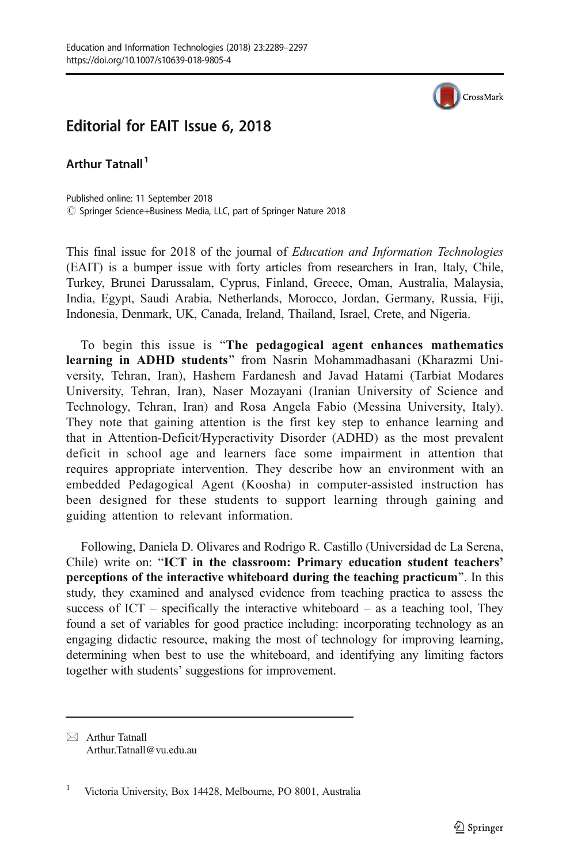

## Editorial for EAIT Issue 6, 2018

## Arthur Tatnall<sup>1</sup>

Published online: 11 September 2018  $\circled{c}$  Springer Science+Business Media, LLC, part of Springer Nature 2018

This final issue for 2018 of the journal of Education and Information Technologies (EAIT) is a bumper issue with forty articles from researchers in Iran, Italy, Chile, Turkey, Brunei Darussalam, Cyprus, Finland, Greece, Oman, Australia, Malaysia, India, Egypt, Saudi Arabia, Netherlands, Morocco, Jordan, Germany, Russia, Fiji, Indonesia, Denmark, UK, Canada, Ireland, Thailand, Israel, Crete, and Nigeria.

To begin this issue is "The pedagogical agent enhances mathematics learning in ADHD students" from Nasrin Mohammadhasani (Kharazmi University, Tehran, Iran), Hashem Fardanesh and Javad Hatami (Tarbiat Modares University, Tehran, Iran), Naser Mozayani (Iranian University of Science and Technology, Tehran, Iran) and Rosa Angela Fabio (Messina University, Italy). They note that gaining attention is the first key step to enhance learning and that in Attention-Deficit/Hyperactivity Disorder (ADHD) as the most prevalent deficit in school age and learners face some impairment in attention that requires appropriate intervention. They describe how an environment with an embedded Pedagogical Agent (Koosha) in computer-assisted instruction has been designed for these students to support learning through gaining and guiding attention to relevant information.

Following, Daniela D. Olivares and Rodrigo R. Castillo (Universidad de La Serena, Chile) write on: "ICT in the classroom: Primary education student teachers' perceptions of the interactive whiteboard during the teaching practicum^. In this study, they examined and analysed evidence from teaching practica to assess the success of ICT – specifically the interactive whiteboard – as a teaching tool, They found a set of variables for good practice including: incorporating technology as an engaging didactic resource, making the most of technology for improving learning, determining when best to use the whiteboard, and identifying any limiting factors together with students' suggestions for improvement.

 $\boxtimes$  Arthur Tatnall [Arthur.Tatnall@vu.edu.au](mailto:Arthur.Tatnall@vu.edu.au)

<sup>&</sup>lt;sup>1</sup> Victoria University, Box 14428, Melbourne, PO 8001, Australia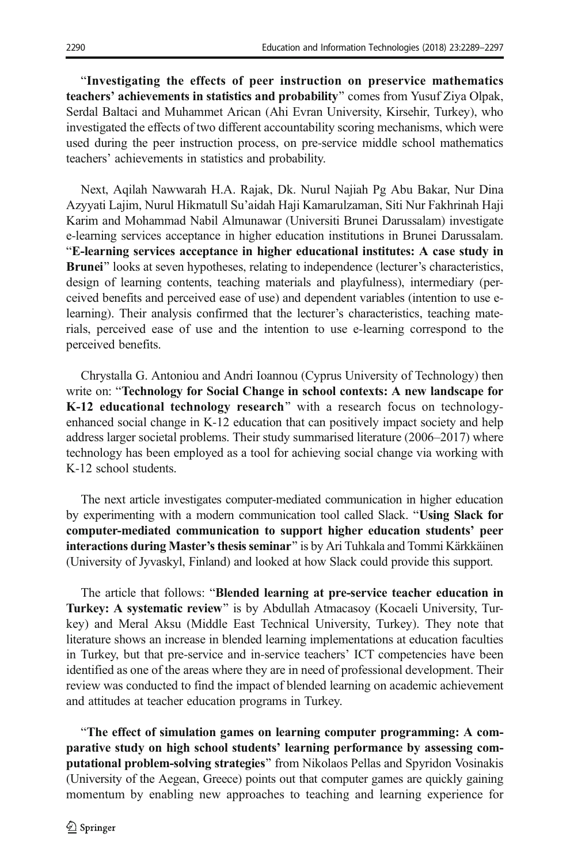"Investigating the effects of peer instruction on preservice mathematics teachers' achievements in statistics and probability^ comes from Yusuf Ziya Olpak, Serdal Baltaci and Muhammet Arican (Ahi Evran University, Kirsehir, Turkey), who investigated the effects of two different accountability scoring mechanisms, which were used during the peer instruction process, on pre-service middle school mathematics teachers' achievements in statistics and probability.

Next, Aqilah Nawwarah H.A. Rajak, Dk. Nurul Najiah Pg Abu Bakar, Nur Dina Azyyati Lajim, Nurul Hikmatull Su'aidah Haji Kamarulzaman, Siti Nur Fakhrinah Haji Karim and Mohammad Nabil Almunawar (Universiti Brunei Darussalam) investigate e-learning services acceptance in higher education institutions in Brunei Darussalam. BE-learning services acceptance in higher educational institutes: A case study in Brunei<sup>"</sup> looks at seven hypotheses, relating to independence (lecturer's characteristics, design of learning contents, teaching materials and playfulness), intermediary (perceived benefits and perceived ease of use) and dependent variables (intention to use elearning). Their analysis confirmed that the lecturer's characteristics, teaching materials, perceived ease of use and the intention to use e-learning correspond to the perceived benefits.

Chrystalla G. Antoniou and Andri Ioannou (Cyprus University of Technology) then write on: "Technology for Social Change in school contexts: A new landscape for K-12 educational technology research" with a research focus on technologyenhanced social change in K-12 education that can positively impact society and help address larger societal problems. Their study summarised literature (2006–2017) where technology has been employed as a tool for achieving social change via working with K-12 school students.

The next article investigates computer-mediated communication in higher education by experimenting with a modern communication tool called Slack. "Using Slack for computer-mediated communication to support higher education students' peer interactions during Master's thesis seminar" is by Ari Tuhkala and Tommi Kärkkäinen (University of Jyvaskyl, Finland) and looked at how Slack could provide this support.

The article that follows: "Blended learning at pre-service teacher education in Turkey: A systematic review" is by Abdullah Atmacasoy (Kocaeli University, Turkey) and Meral Aksu (Middle East Technical University, Turkey). They note that literature shows an increase in blended learning implementations at education faculties in Turkey, but that pre-service and in-service teachers' ICT competencies have been identified as one of the areas where they are in need of professional development. Their review was conducted to find the impact of blended learning on academic achievement and attitudes at teacher education programs in Turkey.

"The effect of simulation games on learning computer programming: A comparative study on high school students' learning performance by assessing computational problem-solving strategies" from Nikolaos Pellas and Spyridon Vosinakis (University of the Aegean, Greece) points out that computer games are quickly gaining momentum by enabling new approaches to teaching and learning experience for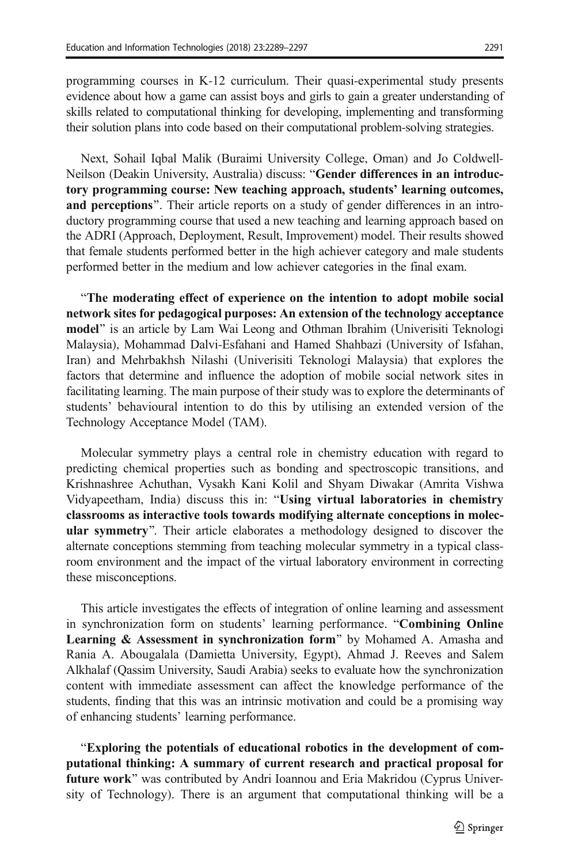programming courses in K-12 curriculum. Their quasi-experimental study presents evidence about how a game can assist boys and girls to gain a greater understanding of skills related to computational thinking for developing, implementing and transforming their solution plans into code based on their computational problem-solving strategies.

Next, Sohail Iqbal Malik (Buraimi University College, Oman) and Jo Coldwell-Neilson (Deakin University, Australia) discuss: "Gender differences in an introductory programming course: New teaching approach, students' learning outcomes, and perceptions". Their article reports on a study of gender differences in an introductory programming course that used a new teaching and learning approach based on the ADRI (Approach, Deployment, Result, Improvement) model. Their results showed that female students performed better in the high achiever category and male students performed better in the medium and low achiever categories in the final exam.

The moderating effect of experience on the intention to adopt mobile social network sites for pedagogical purposes: An extension of the technology acceptance model" is an article by Lam Wai Leong and Othman Ibrahim (Univerisiti Teknologi Malaysia), Mohammad Dalvi-Esfahani and Hamed Shahbazi (University of Isfahan, Iran) and Mehrbakhsh Nilashi (Univerisiti Teknologi Malaysia) that explores the factors that determine and influence the adoption of mobile social network sites in facilitating learning. The main purpose of their study was to explore the determinants of students' behavioural intention to do this by utilising an extended version of the Technology Acceptance Model (TAM).

Molecular symmetry plays a central role in chemistry education with regard to predicting chemical properties such as bonding and spectroscopic transitions, and Krishnashree Achuthan, Vysakh Kani Kolil and Shyam Diwakar (Amrita Vishwa Vidyapeetham, India) discuss this in: "Using virtual laboratories in chemistry classrooms as interactive tools towards modifying alternate conceptions in molecular symmetry". Their article elaborates a methodology designed to discover the alternate conceptions stemming from teaching molecular symmetry in a typical classroom environment and the impact of the virtual laboratory environment in correcting these misconceptions.

This article investigates the effects of integration of online learning and assessment in synchronization form on students' learning performance. "Combining Online Learning & Assessment in synchronization form" by Mohamed A. Amasha and Rania A. Abougalala (Damietta University, Egypt), Ahmad J. Reeves and Salem Alkhalaf (Qassim University, Saudi Arabia) seeks to evaluate how the synchronization content with immediate assessment can affect the knowledge performance of the students, finding that this was an intrinsic motivation and could be a promising way of enhancing students' learning performance.

BExploring the potentials of educational robotics in the development of computational thinking: A summary of current research and practical proposal for future work" was contributed by Andri Ioannou and Eria Makridou (Cyprus University of Technology). There is an argument that computational thinking will be a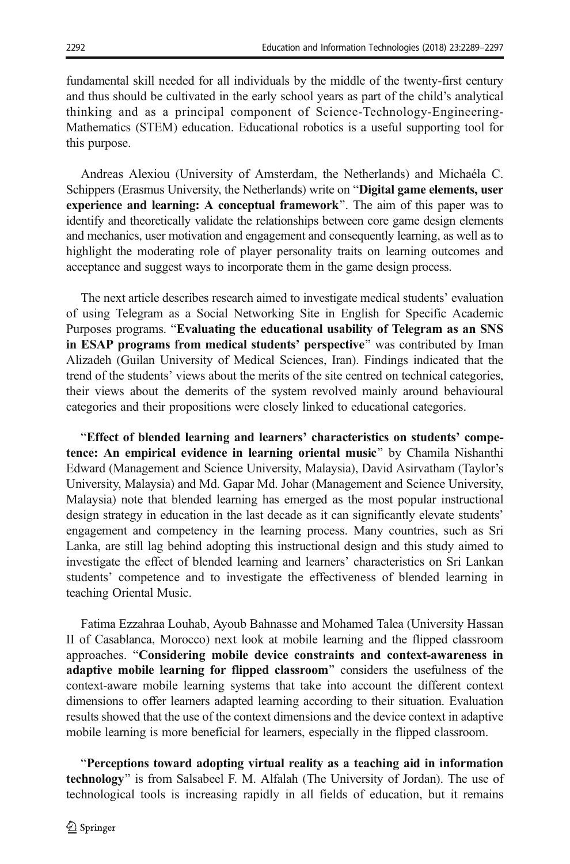fundamental skill needed for all individuals by the middle of the twenty-first century and thus should be cultivated in the early school years as part of the child's analytical thinking and as a principal component of Science-Technology-Engineering-Mathematics (STEM) education. Educational robotics is a useful supporting tool for this purpose.

Andreas Alexiou (University of Amsterdam, the Netherlands) and Michaéla C. Schippers (Erasmus University, the Netherlands) write on "Digital game elements, user experience and learning: A conceptual framework". The aim of this paper was to identify and theoretically validate the relationships between core game design elements and mechanics, user motivation and engagement and consequently learning, as well as to highlight the moderating role of player personality traits on learning outcomes and acceptance and suggest ways to incorporate them in the game design process.

The next article describes research aimed to investigate medical students' evaluation of using Telegram as a Social Networking Site in English for Specific Academic Purposes programs. "Evaluating the educational usability of Telegram as an SNS in ESAP programs from medical students' perspective" was contributed by Iman Alizadeh (Guilan University of Medical Sciences, Iran). Findings indicated that the trend of the students' views about the merits of the site centred on technical categories, their views about the demerits of the system revolved mainly around behavioural categories and their propositions were closely linked to educational categories.

"Effect of blended learning and learners' characteristics on students' competence: An empirical evidence in learning oriental music^ by Chamila Nishanthi Edward (Management and Science University, Malaysia), David Asirvatham (Taylor's University, Malaysia) and Md. Gapar Md. Johar (Management and Science University, Malaysia) note that blended learning has emerged as the most popular instructional design strategy in education in the last decade as it can significantly elevate students' engagement and competency in the learning process. Many countries, such as Sri Lanka, are still lag behind adopting this instructional design and this study aimed to investigate the effect of blended learning and learners' characteristics on Sri Lankan students' competence and to investigate the effectiveness of blended learning in teaching Oriental Music.

Fatima Ezzahraa Louhab, Ayoub Bahnasse and Mohamed Talea (University Hassan II of Casablanca, Morocco) next look at mobile learning and the flipped classroom approaches. "Considering mobile device constraints and context-awareness in adaptive mobile learning for flipped classroom" considers the usefulness of the context-aware mobile learning systems that take into account the different context dimensions to offer learners adapted learning according to their situation. Evaluation results showed that the use of the context dimensions and the device context in adaptive mobile learning is more beneficial for learners, especially in the flipped classroom.

"Perceptions toward adopting virtual reality as a teaching aid in information technology^ is from Salsabeel F. M. Alfalah (The University of Jordan). The use of technological tools is increasing rapidly in all fields of education, but it remains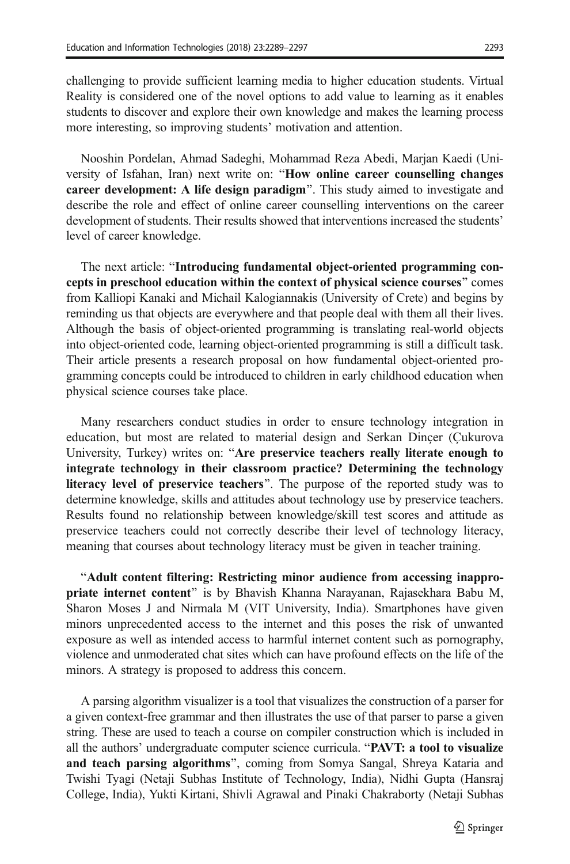challenging to provide sufficient learning media to higher education students. Virtual Reality is considered one of the novel options to add value to learning as it enables students to discover and explore their own knowledge and makes the learning process more interesting, so improving students' motivation and attention.

Nooshin Pordelan, Ahmad Sadeghi, Mohammad Reza Abedi, Marjan Kaedi (University of Isfahan, Iran) next write on: "How online career counselling changes career development: A life design paradigm". This study aimed to investigate and describe the role and effect of online career counselling interventions on the career development of students. Their results showed that interventions increased the students' level of career knowledge.

The next article: "Introducing fundamental object-oriented programming concepts in preschool education within the context of physical science courses^ comes from Kalliopi Kanaki and Michail Kalogiannakis (University of Crete) and begins by reminding us that objects are everywhere and that people deal with them all their lives. Although the basis of object-oriented programming is translating real-world objects into object-oriented code, learning object-oriented programming is still a difficult task. Their article presents a research proposal on how fundamental object-oriented programming concepts could be introduced to children in early childhood education when physical science courses take place.

Many researchers conduct studies in order to ensure technology integration in education, but most are related to material design and Serkan Dinçer (Çukurova University, Turkey) writes on: "Are preservice teachers really literate enough to integrate technology in their classroom practice? Determining the technology literacy level of preservice teachers". The purpose of the reported study was to determine knowledge, skills and attitudes about technology use by preservice teachers. Results found no relationship between knowledge/skill test scores and attitude as preservice teachers could not correctly describe their level of technology literacy, meaning that courses about technology literacy must be given in teacher training.

"Adult content filtering: Restricting minor audience from accessing inappropriate internet content" is by Bhavish Khanna Narayanan, Rajasekhara Babu M, Sharon Moses J and Nirmala M (VIT University, India). Smartphones have given minors unprecedented access to the internet and this poses the risk of unwanted exposure as well as intended access to harmful internet content such as pornography, violence and unmoderated chat sites which can have profound effects on the life of the minors. A strategy is proposed to address this concern.

A parsing algorithm visualizer is a tool that visualizes the construction of a parser for a given context-free grammar and then illustrates the use of that parser to parse a given string. These are used to teach a course on compiler construction which is included in all the authors' undergraduate computer science curricula. "PAVT: a tool to visualize and teach parsing algorithms", coming from Somya Sangal, Shreya Kataria and Twishi Tyagi (Netaji Subhas Institute of Technology, India), Nidhi Gupta (Hansraj College, India), Yukti Kirtani, Shivli Agrawal and Pinaki Chakraborty (Netaji Subhas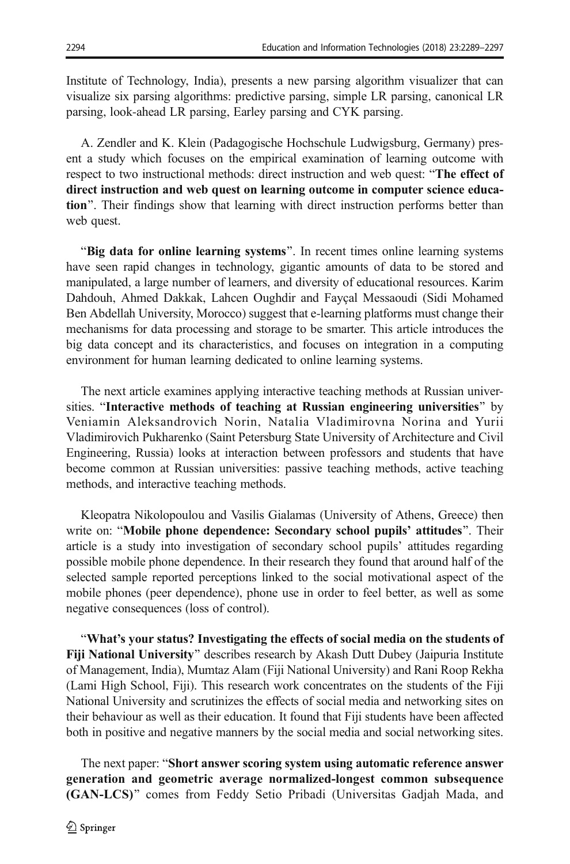Institute of Technology, India), presents a new parsing algorithm visualizer that can visualize six parsing algorithms: predictive parsing, simple LR parsing, canonical LR parsing, look-ahead LR parsing, Earley parsing and CYK parsing.

A. Zendler and K. Klein (Padagogische Hochschule Ludwigsburg, Germany) present a study which focuses on the empirical examination of learning outcome with respect to two instructional methods: direct instruction and web quest: "The effect of direct instruction and web quest on learning outcome in computer science education". Their findings show that learning with direct instruction performs better than web quest.

"Big data for online learning systems". In recent times online learning systems have seen rapid changes in technology, gigantic amounts of data to be stored and manipulated, a large number of learners, and diversity of educational resources. Karim Dahdouh, Ahmed Dakkak, Lahcen Oughdir and Fayçal Messaoudi (Sidi Mohamed Ben Abdellah University, Morocco) suggest that e-learning platforms must change their mechanisms for data processing and storage to be smarter. This article introduces the big data concept and its characteristics, and focuses on integration in a computing environment for human learning dedicated to online learning systems.

The next article examines applying interactive teaching methods at Russian universities. "Interactive methods of teaching at Russian engineering universities" by Veniamin Aleksandrovich Norin, Natalia Vladimirovna Norina and Yurii Vladimirovich Pukharenko (Saint Petersburg State University of Architecture and Civil Engineering, Russia) looks at interaction between professors and students that have become common at Russian universities: passive teaching methods, active teaching methods, and interactive teaching methods.

Kleopatra Nikolopoulou and Vasilis Gialamas (University of Athens, Greece) then write on: "Mobile phone dependence: Secondary school pupils' attitudes". Their article is a study into investigation of secondary school pupils' attitudes regarding possible mobile phone dependence. In their research they found that around half of the selected sample reported perceptions linked to the social motivational aspect of the mobile phones (peer dependence), phone use in order to feel better, as well as some negative consequences (loss of control).

"What's your status? Investigating the effects of social media on the students of Fiji National University" describes research by Akash Dutt Dubey (Jaipuria Institute of Management, India), Mumtaz Alam (Fiji National University) and Rani Roop Rekha (Lami High School, Fiji). This research work concentrates on the students of the Fiji National University and scrutinizes the effects of social media and networking sites on their behaviour as well as their education. It found that Fiji students have been affected both in positive and negative manners by the social media and social networking sites.

The next paper: "Short answer scoring system using automatic reference answer generation and geometric average normalized-longest common subsequence (GAN-LCS)^ comes from Feddy Setio Pribadi (Universitas Gadjah Mada, and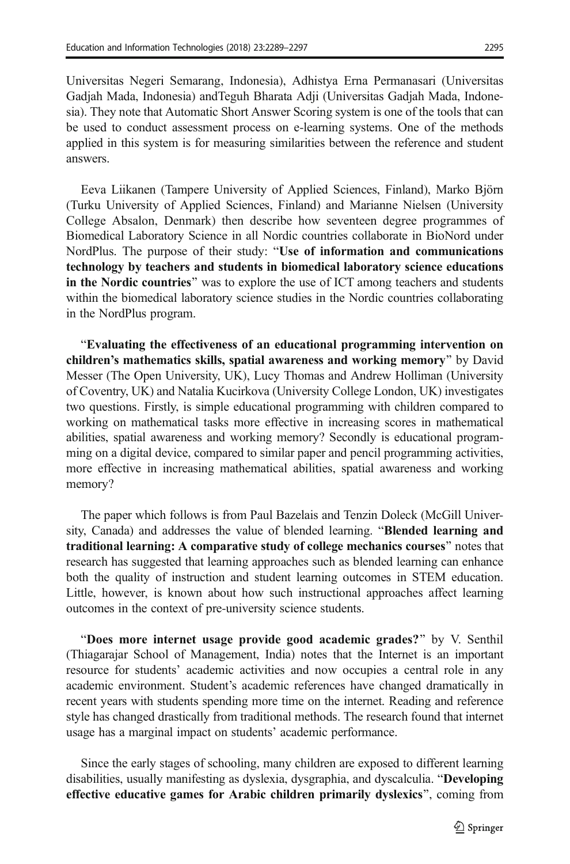Universitas Negeri Semarang, Indonesia), Adhistya Erna Permanasari (Universitas Gadjah Mada, Indonesia) andTeguh Bharata Adji (Universitas Gadjah Mada, Indonesia). They note that Automatic Short Answer Scoring system is one of the tools that can be used to conduct assessment process on e-learning systems. One of the methods applied in this system is for measuring similarities between the reference and student answers.

Eeva Liikanen (Tampere University of Applied Sciences, Finland), Marko Björn (Turku University of Applied Sciences, Finland) and Marianne Nielsen (University College Absalon, Denmark) then describe how seventeen degree programmes of Biomedical Laboratory Science in all Nordic countries collaborate in BioNord under NordPlus. The purpose of their study: "Use of information and communications technology by teachers and students in biomedical laboratory science educations in the Nordic countries" was to explore the use of ICT among teachers and students within the biomedical laboratory science studies in the Nordic countries collaborating in the NordPlus program.

BEvaluating the effectiveness of an educational programming intervention on children's mathematics skills, spatial awareness and working memory^ by David Messer (The Open University, UK), Lucy Thomas and Andrew Holliman (University of Coventry, UK) and Natalia Kucirkova (University College London, UK) investigates two questions. Firstly, is simple educational programming with children compared to working on mathematical tasks more effective in increasing scores in mathematical abilities, spatial awareness and working memory? Secondly is educational programming on a digital device, compared to similar paper and pencil programming activities, more effective in increasing mathematical abilities, spatial awareness and working memory?

The paper which follows is from Paul Bazelais and Tenzin Doleck (McGill University, Canada) and addresses the value of blended learning. "**Blended learning and** traditional learning: A comparative study of college mechanics courses^ notes that research has suggested that learning approaches such as blended learning can enhance both the quality of instruction and student learning outcomes in STEM education. Little, however, is known about how such instructional approaches affect learning outcomes in the context of pre-university science students.

"Does more internet usage provide good academic grades?" by V. Senthil (Thiagarajar School of Management, India) notes that the Internet is an important resource for students' academic activities and now occupies a central role in any academic environment. Student's academic references have changed dramatically in recent years with students spending more time on the internet. Reading and reference style has changed drastically from traditional methods. The research found that internet usage has a marginal impact on students' academic performance.

Since the early stages of schooling, many children are exposed to different learning disabilities, usually manifesting as dyslexia, dysgraphia, and dyscalculia. "Developing effective educative games for Arabic children primarily dyslexics^, coming from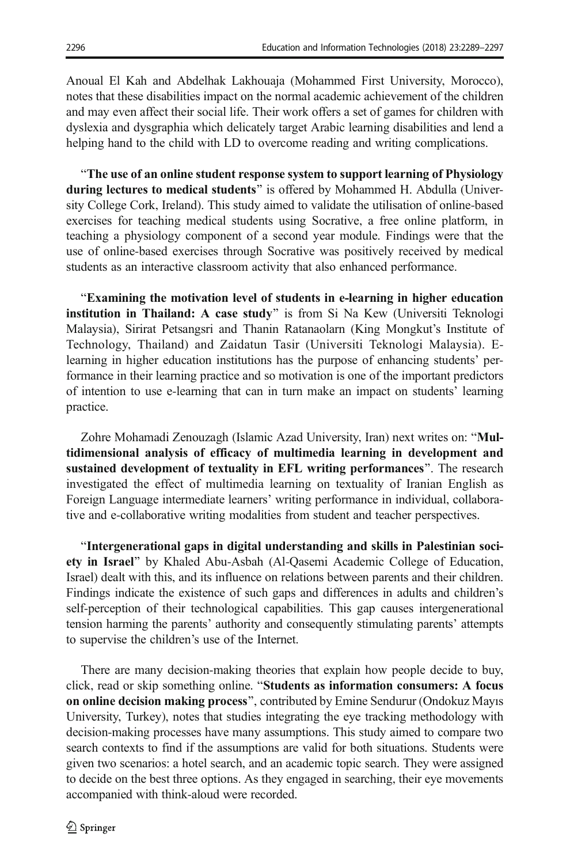Anoual El Kah and Abdelhak Lakhouaja (Mohammed First University, Morocco), notes that these disabilities impact on the normal academic achievement of the children and may even affect their social life. Their work offers a set of games for children with dyslexia and dysgraphia which delicately target Arabic learning disabilities and lend a helping hand to the child with LD to overcome reading and writing complications.

"The use of an online student response system to support learning of Physiology during lectures to medical students" is offered by Mohammed H. Abdulla (University College Cork, Ireland). This study aimed to validate the utilisation of online-based exercises for teaching medical students using Socrative, a free online platform, in teaching a physiology component of a second year module. Findings were that the use of online-based exercises through Socrative was positively received by medical students as an interactive classroom activity that also enhanced performance.

BExamining the motivation level of students in e-learning in higher education institution in Thailand: A case study" is from Si Na Kew (Universiti Teknologi Malaysia), Sirirat Petsangsri and Thanin Ratanaolarn (King Mongkut's Institute of Technology, Thailand) and Zaidatun Tasir (Universiti Teknologi Malaysia). Elearning in higher education institutions has the purpose of enhancing students' performance in their learning practice and so motivation is one of the important predictors of intention to use e-learning that can in turn make an impact on students' learning practice.

Zohre Mohamadi Zenouzagh (Islamic Azad University, Iran) next writes on: "Multidimensional analysis of efficacy of multimedia learning in development and sustained development of textuality in EFL writing performances". The research investigated the effect of multimedia learning on textuality of Iranian English as Foreign Language intermediate learners' writing performance in individual, collaborative and e-collaborative writing modalities from student and teacher perspectives.

BIntergenerational gaps in digital understanding and skills in Palestinian society in Israel^ by Khaled Abu-Asbah (Al-Qasemi Academic College of Education, Israel) dealt with this, and its influence on relations between parents and their children. Findings indicate the existence of such gaps and differences in adults and children's self-perception of their technological capabilities. This gap causes intergenerational tension harming the parents' authority and consequently stimulating parents' attempts to supervise the children's use of the Internet.

There are many decision-making theories that explain how people decide to buy, click, read or skip something online. "Students as information consumers: A focus on online decision making process", contributed by Emine Sendurur (Ondokuz Mayıs University, Turkey), notes that studies integrating the eye tracking methodology with decision-making processes have many assumptions. This study aimed to compare two search contexts to find if the assumptions are valid for both situations. Students were given two scenarios: a hotel search, and an academic topic search. They were assigned to decide on the best three options. As they engaged in searching, their eye movements accompanied with think-aloud were recorded.